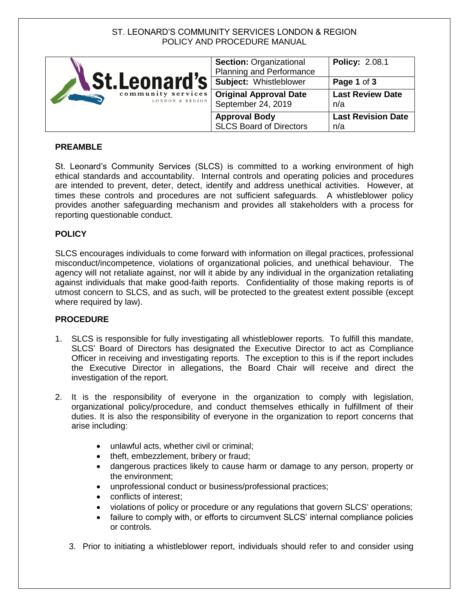# ST. LEONARD'S COMMUNITY SERVICES LONDON & REGION POLICY AND PROCEDURE MANUAL

| <b>↓St.Leonard's</b><br>community services<br>LONDON & REGION | <b>Section: Organizational</b><br><b>Planning and Performance</b> | <b>Policy: 2.08.1</b>            |
|---------------------------------------------------------------|-------------------------------------------------------------------|----------------------------------|
|                                                               | Subject: Whistleblower                                            | Page 1 of 3                      |
|                                                               | <b>Original Approval Date</b><br>September 24, 2019               | <b>Last Review Date</b><br>n/a   |
|                                                               | <b>Approval Body</b><br><b>SLCS Board of Directors</b>            | <b>Last Revision Date</b><br>n/a |

### **PREAMBLE**

St. Leonard's Community Services (SLCS) is committed to a working environment of high ethical standards and accountability. Internal controls and operating policies and procedures are intended to prevent, deter, detect, identify and address unethical activities. However, at times these controls and procedures are not sufficient safeguards. A whistleblower policy provides another safeguarding mechanism and provides all stakeholders with a process for reporting questionable conduct.

### **POLICY**

SLCS encourages individuals to come forward with information on illegal practices, professional misconduct/incompetence, violations of organizational policies, and unethical behaviour. The agency will not retaliate against, nor will it abide by any individual in the organization retaliating against individuals that make good-faith reports. Confidentiality of those making reports is of utmost concern to SLCS, and as such, will be protected to the greatest extent possible (except where required by law).

#### **PROCEDURE**

- 1. SLCS is responsible for fully investigating all whistleblower reports. To fulfill this mandate, SLCS' Board of Directors has designated the Executive Director to act as Compliance Officer in receiving and investigating reports. The exception to this is if the report includes the Executive Director in allegations, the Board Chair will receive and direct the investigation of the report.
- 2. It is the responsibility of everyone in the organization to comply with legislation, organizational policy/procedure, and conduct themselves ethically in fulfillment of their duties. It is also the responsibility of everyone in the organization to report concerns that arise including:
	- unlawful acts, whether civil or criminal;
	- theft, embezzlement, bribery or fraud;
	- dangerous practices likely to cause harm or damage to any person, property or the environment;
	- unprofessional conduct or business/professional practices;
	- conflicts of interest:
	- violations of policy or procedure or any regulations that govern SLCS' operations;
	- failure to comply with, or efforts to circumvent SLCS' internal compliance policies or controls.
	- 3. Prior to initiating a whistleblower report, individuals should refer to and consider using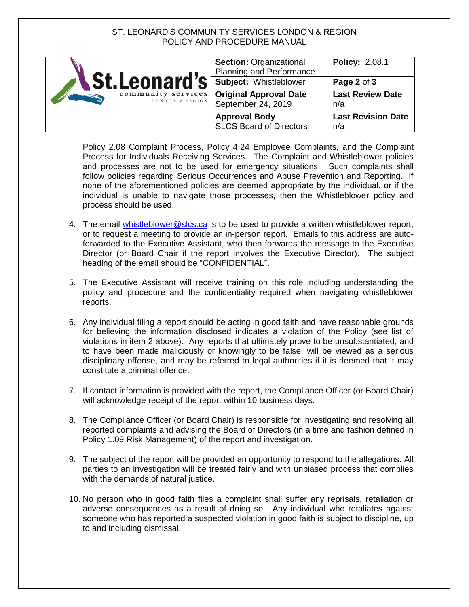# ST. LEONARD'S COMMUNITY SERVICES LONDON & REGION POLICY AND PROCEDURE MANUAL

| <b><i>St.Leonard's</i></b><br>community services<br>LONDON & REGION | <b>Section: Organizational</b><br><b>Planning and Performance</b> | <b>Policy: 2.08.1</b>            |
|---------------------------------------------------------------------|-------------------------------------------------------------------|----------------------------------|
|                                                                     | Subject: Whistleblower                                            | Page 2 of 3                      |
|                                                                     | <b>Original Approval Date</b><br>September 24, 2019               | <b>Last Review Date</b><br>n/a   |
|                                                                     | <b>Approval Body</b><br><b>SLCS Board of Directors</b>            | <b>Last Revision Date</b><br>n/a |

Policy 2.08 Complaint Process, Policy 4.24 Employee Complaints, and the Complaint Process for Individuals Receiving Services. The Complaint and Whistleblower policies and processes are not to be used for emergency situations. Such complaints shall follow policies regarding Serious Occurrences and Abuse Prevention and Reporting. If none of the aforementioned policies are deemed appropriate by the individual, or if the individual is unable to navigate those processes, then the Whistleblower policy and process should be used.

- 4. The email [whistleblower@slcs.ca](mailto:whistleblower@slcs.ca) is to be used to provide a written whistleblower report, or to request a meeting to provide an in-person report. Emails to this address are autoforwarded to the Executive Assistant, who then forwards the message to the Executive Director (or Board Chair if the report involves the Executive Director). The subject heading of the email should be "CONFIDENTIAL".
- 5. The Executive Assistant will receive training on this role including understanding the policy and procedure and the confidentiality required when navigating whistleblower reports.
- 6. Any individual filing a report should be acting in good faith and have reasonable grounds for believing the information disclosed indicates a violation of the Policy (see list of violations in item 2 above). Any reports that ultimately prove to be unsubstantiated, and to have been made maliciously or knowingly to be false, will be viewed as a serious disciplinary offense, and may be referred to legal authorities if it is deemed that it may constitute a criminal offence.
- 7. If contact information is provided with the report, the Compliance Officer (or Board Chair) will acknowledge receipt of the report within 10 business days.
- 8. The Compliance Officer (or Board Chair) is responsible for investigating and resolving all reported complaints and advising the Board of Directors (in a time and fashion defined in Policy 1.09 Risk Management) of the report and investigation.
- 9. The subject of the report will be provided an opportunity to respond to the allegations. All parties to an investigation will be treated fairly and with unbiased process that complies with the demands of natural justice.
- 10. No person who in good faith files a complaint shall suffer any reprisals, retaliation or adverse consequences as a result of doing so. Any individual who retaliates against someone who has reported a suspected violation in good faith is subject to discipline, up to and including dismissal.